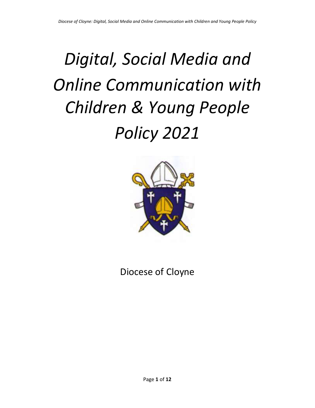# *Digital, Social Media and Online Communication with Children & Young People Policy 2021*



Diocese of Cloyne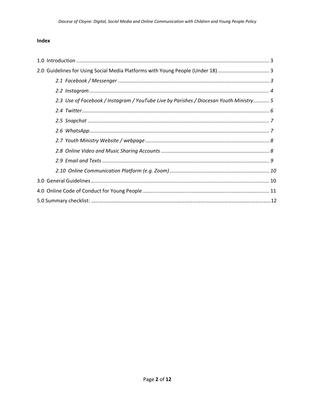## Index

| 2.0 Guidelines for Using Social Media Platforms with Young People (Under 18)3          |  |
|----------------------------------------------------------------------------------------|--|
|                                                                                        |  |
|                                                                                        |  |
| 2.3 Use of Facebook / Instagram / YouTube Live by Parishes / Diocesan Youth Ministry 5 |  |
|                                                                                        |  |
|                                                                                        |  |
|                                                                                        |  |
|                                                                                        |  |
|                                                                                        |  |
|                                                                                        |  |
|                                                                                        |  |
|                                                                                        |  |
|                                                                                        |  |
|                                                                                        |  |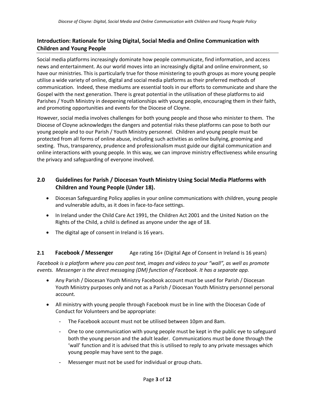# **Introduction: Rationale for Using Digital, Social Media and Online Communication with Children and Young People**

Social media platforms increasingly dominate how people communicate, find information, and access news and entertainment. As our world moves into an increasingly digital and online environment, so have our ministries. This is particularly true for those ministering to youth groups as more young people utilise a wide variety of online, digital and social media platforms as their preferred methods of communication. Indeed, these mediums are essential tools in our efforts to communicate and share the Gospel with the next generation. There is great potential in the utilisation of these platforms to aid Parishes / Youth Ministry in deepening relationships with young people, encouraging them in their faith, and promoting opportunities and events for the Diocese of Cloyne.

However, social media involves challenges for both young people and those who minister to them. The Diocese of Cloyne acknowledges the dangers and potential risks these platforms can pose to both our young people and to our Parish / Youth Ministry personnel. Children and young people must be protected from all forms of online abuse, including such activities as online bullying, grooming and sexting. Thus, transparency, prudence and professionalism must guide our digital communication and online interactions with young people. In this way, we can improve ministry effectiveness while ensuring the privacy and safeguarding of everyone involved.

# **2.0 Guidelines for Parish / Diocesan Youth Ministry Using Social Media Platforms with Children and Young People (Under 18).**

- Diocesan Safeguarding Policy applies in your online communications with children, young people and vulnerable adults, as it does in face-to-face settings.
- In Ireland under the Child Care Act 1991, the Children Act 2001 and the United Nation on the Rights of the Child, a child is defined as anyone under the age of 18.
- The digital age of consent in Ireland is 16 years.

## **2.1 Facebook / Messenger** Age rating 16+ (Digital Age of Consent in Ireland is 16 years)

*Facebook is a platform where you can post text, images and videos to your "wall", as well as promote events. Messenger is the direct messaging (DM) function of Facebook. It has a separate app.*

- Any Parish / Diocesan Youth Ministry Facebook account must be used for Parish / Diocesan Youth Ministry purposes only and not as a Parish / Diocesan Youth Ministry personnel personal account.
- All ministry with young people through Facebook must be in line with the Diocesan Code of Conduct for Volunteers and be appropriate:
	- The Facebook account must not be utilised between 10pm and 8am.
	- One to one communication with young people must be kept in the public eye to safeguard both the young person and the adult leader. Communications must be done through the 'wall' function and it is advised that this is utilised to reply to any private messages which young people may have sent to the page.
	- Messenger must not be used for individual or group chats.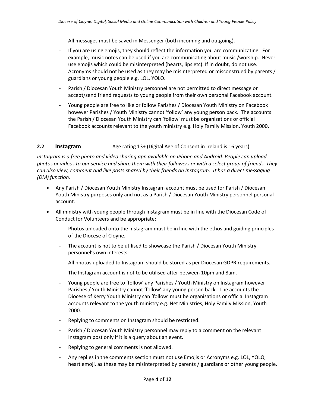- All messages must be saved in Messenger (both incoming and outgoing).
- If you are using emojis, they should reflect the information you are communicating. For example, music notes can be used if you are communicating about music /worship. Never use emojis which could be misinterpreted (hearts, lips etc). If in doubt, do not use. Acronyms should not be used as they may be misinterpreted or misconstrued by parents / guardians or young people e.g. LOL, YOLO.
- Parish / Diocesan Youth Ministry personnel are not permitted to direct message or accept/send friend requests to young people from their own personal Facebook account.
- Young people are free to like or follow Parishes / Diocesan Youth Ministry on Facebook however Parishes / Youth Ministry cannot 'follow' any young person back. The accounts the Parish / Diocesan Youth Ministry can 'follow' must be organisations or official Facebook accounts relevant to the youth ministry e.g. Holy Family Mission, Youth 2000.

## **2.2 Instagram** Age rating 13+ (Digital Age of Consent in Ireland is 16 years)

*Instagram is a free photo and video sharing app available on iPhone and Android. People can upload photos or videos to our service and share them with their followers or with a select group of friends. They can also view, comment and like posts shared by their friends on Instagram. It has a direct messaging (DM) function.*

- Any Parish / Diocesan Youth Ministry Instagram account must be used for Parish / Diocesan Youth Ministry purposes only and not as a Parish / Diocesan Youth Ministry personnel personal account.
- All ministry with young people through Instagram must be in line with the Diocesan Code of Conduct for Volunteers and be appropriate:
	- Photos uploaded onto the Instagram must be in line with the ethos and guiding principles of the Diocese of Cloyne.
	- The account is not to be utilised to showcase the Parish / Diocesan Youth Ministry personnel's own interests.
	- All photos uploaded to Instagram should be stored as per Diocesan GDPR requirements.
	- The Instagram account is not to be utilised after between 10pm and 8am.
	- Young people are free to 'follow' any Parishes / Youth Ministry on Instagram however Parishes / Youth Ministry cannot 'follow' any young person back. The accounts the Diocese of Kerry Youth Ministry can 'follow' must be organisations or official Instagram accounts relevant to the youth ministry e.g. Net Ministries, Holy Family Mission, Youth 2000.
	- Replying to comments on Instagram should be restricted.
	- Parish / Diocesan Youth Ministry personnel may reply to a comment on the relevant Instagram post only if it is a query about an event.
	- Replying to general comments is not allowed.
	- Any replies in the comments section must not use Emojis or Acronyms e.g. LOL, YOLO, heart emoji, as these may be misinterpreted by parents / guardians or other young people.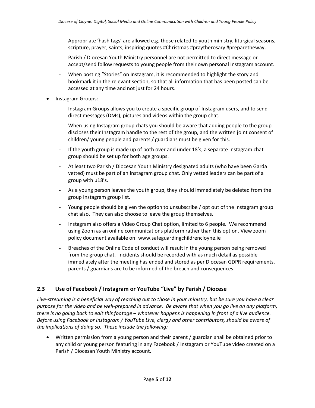- Appropriate 'hash tags' are allowed e.g. those related to youth ministry, liturgical seasons, scripture, prayer, saints, inspiring quotes #Christmas #praytherosary #preparetheway.
- Parish / Diocesan Youth Ministry personnel are not permitted to direct message or accept/send follow requests to young people from their own personal Instagram account.
- When posting "Stories" on Instagram, it is recommended to highlight the story and bookmark it in the relevant section, so that all information that has been posted can be accessed at any time and not just for 24 hours.
- Instagram Groups:
	- Instagram Groups allows you to create a specific group of Instagram users, and to send direct messages (DMs), pictures and videos within the group chat.
	- When using Instagram group chats you should be aware that adding people to the group discloses their Instagram handle to the rest of the group, and the written joint consent of children/ young people and parents / guardians must be given for this.
	- If the youth group is made up of both over and under 18's, a separate Instagram chat group should be set up for both age groups.
	- At least two Parish / Diocesan Youth Ministry designated adults (who have been Garda vetted) must be part of an Instagram group chat. Only vetted leaders can be part of a group with u18's.
	- As a young person leaves the youth group, they should immediately be deleted from the group Instagram group list.
	- Young people should be given the option to unsubscribe / opt out of the Instagram group chat also. They can also choose to leave the group themselves.
	- Instagram also offers a Video Group Chat option, limited to 6 people. We recommend using Zoom as an online communications platform rather than this option. View zoom policy document available on: www.safeguardingchildrencloyne.ie
	- Breaches of the Online Code of conduct will result in the young person being removed from the group chat. Incidents should be recorded with as much detail as possible immediately after the meeting has ended and stored as per Diocesan GDPR requirements. parents / guardians are to be informed of the breach and consequences.

# **2.3 Use of Facebook / Instagram or YouTube "Live" by Parish / Diocese**

*Live-streaming is a beneficial way of reaching out to those in your ministry, but be sure you have a clear purpose for the video and be well-prepared in advance. Be aware that when you go live on any platform, there is no going back to edit this footage – whatever happens is happening in front of a live audience. Before using Facebook or Instagram / YouTube Live, clergy and other contributors, should be aware of the implications of doing so. These include the following:*

• Written permission from a young person and their parent / guardian shall be obtained prior to any child or young person featuring in any Facebook / Instagram or YouTube video created on a Parish / Diocesan Youth Ministry account.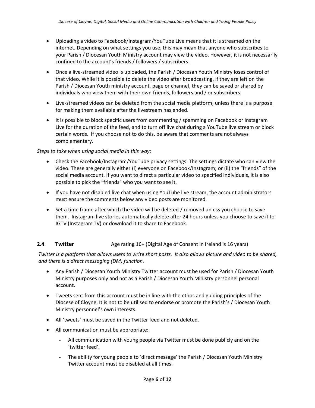- Uploading a video to Facebook/Instagram/YouTube Live means that it is streamed on the internet. Depending on what settings you use, this may mean that anyone who subscribes to your Parish / Diocesan Youth Ministry account may view the video. However, it is not necessarily confined to the account's friends / followers / subscribers.
- Once a live-streamed video is uploaded, the Parish / Diocesan Youth Ministry loses control of that video. While it is possible to delete the video after broadcasting, if they are left on the Parish / Diocesan Youth ministry account, page or channel, they can be saved or shared by individuals who view them with their own friends, followers and / or subscribers.
- Live-streamed videos can be deleted from the social media platform, unless there is a purpose for making them available after the livestream has ended.
- It is possible to block specific users from commenting / spamming on Facebook or Instagram Live for the duration of the feed, and to turn off live chat during a YouTube live stream or block certain words. If you choose not to do this, be aware that comments are not always complementary.

#### *Steps to take when using social media in this way:*

- Check the Facebook/Instagram/YouTube privacy settings. The settings dictate who can view the video. These are generally either (i) everyone on Facebook/Instagram; or (ii) the "friends" of the social media account. If you want to direct a particular video to specified individuals, it is also possible to pick the "friends" who you want to see it.
- If you have not disabled live chat when using YouTube live stream, the account administrators must ensure the comments below any video posts are monitored.
- Set a time frame after which the video will be deleted / removed unless you choose to save them. Instagram live stories automatically delete after 24 hours unless you choose to save it to IGTV (Instagram TV) or download it to share to Facebook.

## **2.4 Twitter Age rating 16+ (Digital Age of Consent in Ireland is 16 years)**

*Twitter is a platform that allows users to write short posts. It also allows picture and video to be shared, and there is a direct messaging (DM) function.*

- Any Parish / Diocesan Youth Ministry Twitter account must be used for Parish / Diocesan Youth Ministry purposes only and not as a Parish / Diocesan Youth Ministry personnel personal account.
- Tweets sent from this account must be in line with the ethos and guiding principles of the Diocese of Cloyne. It is not to be utilised to endorse or promote the Parish's / Diocesan Youth Ministry personnel's own interests.
- All 'tweets' must be saved in the Twitter feed and not deleted.
- All communication must be appropriate:
	- All communication with young people via Twitter must be done publicly and on the 'twitter feed'.
	- The ability for young people to 'direct message' the Parish / Diocesan Youth Ministry Twitter account must be disabled at all times.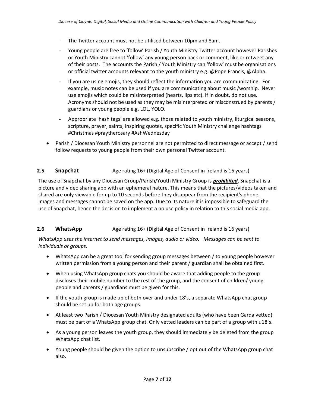- The Twitter account must not be utilised between 10pm and 8am.
- Young people are free to 'follow' Parish / Youth Ministry Twitter account however Parishes or Youth Ministry cannot 'follow' any young person back or comment, like or retweet any of their posts. The accounts the Parish / Youth Ministry can 'follow' must be organisations or official twitter accounts relevant to the youth ministry e.g. @Pope Francis, @Alpha.
- If you are using emojis, they should reflect the information you are communicating. For example, music notes can be used if you are communicating about music /worship. Never use emojis which could be misinterpreted (hearts, lips etc). If in doubt, do not use. Acronyms should not be used as they may be misinterpreted or misconstrued by parents / guardians or young people e.g. LOL, YOLO.
- Appropriate 'hash tags' are allowed e.g. those related to youth ministry, liturgical seasons, scripture, prayer, saints, inspiring quotes, specific Youth Ministry challenge hashtags #Christmas #praytherosary #AshWednesday
- Parish / Diocesan Youth Ministry personnel are not permitted to direct message or accept / send follow requests to young people from their own personal Twitter account.

#### **2.5 Snapchat** Age rating 16+ (Digital Age of Consent in Ireland is 16 years)

The use of Snapchat by any Diocesan Group/Parish/Youth Ministry Group is *prohibited*. Snapchat is a picture and video sharing app with an ephemeral nature. This means that the pictures/videos taken and shared are only viewable for up to 10 seconds before they disappear from the recipient's phone. Images and messages cannot be saved on the app. Due to its nature it is impossible to safeguard the use of Snapchat, hence the decision to implement a no use policy in relation to this social media app.

#### **2.6 WhatsApp Age rating 16+ (Digital Age of Consent in Ireland is 16 years)**

*WhatsApp uses the internet to send messages, images, audio or video. Messages can be sent to individuals or groups.*

- WhatsApp can be a great tool for sending group messages between / to young people however written permission from a young person and their parent / guardian shall be obtained first.
- When using WhatsApp group chats you should be aware that adding people to the group discloses their mobile number to the rest of the group, and the consent of children/ young people and parents / guardians must be given for this.
- If the youth group is made up of both over and under 18's, a separate WhatsApp chat group should be set up for both age groups.
- At least two Parish / Diocesan Youth Ministry designated adults (who have been Garda vetted) must be part of a WhatsApp group chat. Only vetted leaders can be part of a group with u18's.
- As a young person leaves the youth group, they should immediately be deleted from the group WhatsApp chat list.
- Young people should be given the option to unsubscribe / opt out of the WhatsApp group chat also.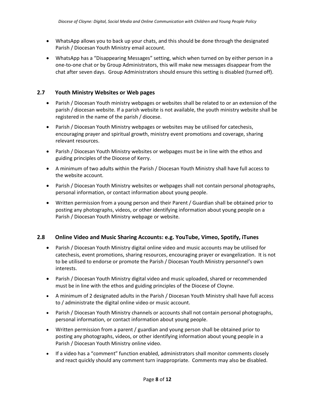- WhatsApp allows you to back up your chats, and this should be done through the designated Parish / Diocesan Youth Ministry email account.
- WhatsApp has a "Disappearing Messages" setting, which when turned on by either person in a one-to-one chat or by Group Administrators, this will make new messages disappear from the chat after seven days. Group Administrators should ensure this setting is disabled (turned off).

## **2.7 Youth Ministry Websites or Web pages**

- Parish / Diocesan Youth ministry webpages or websites shall be related to or an extension of the parish / diocesan website. If a parish website is not available, the youth ministry website shall be registered in the name of the parish / diocese.
- Parish / Diocesan Youth Ministry webpages or websites may be utilised for catechesis, encouraging prayer and spiritual growth, ministry event promotions and coverage, sharing relevant resources.
- Parish / Diocesan Youth Ministry websites or webpages must be in line with the ethos and guiding principles of the Diocese of Kerry.
- A minimum of two adults within the Parish / Diocesan Youth Ministry shall have full access to the website account.
- Parish / Diocesan Youth Ministry websites or webpages shall not contain personal photographs, personal information, or contact information about young people.
- Written permission from a young person and their Parent / Guardian shall be obtained prior to posting any photographs, videos, or other identifying information about young people on a Parish / Diocesan Youth Ministry webpage or website.

#### **2.8 Online Video and Music Sharing Accounts: e.g. YouTube, Vimeo, Spotify, iTunes**

- Parish / Diocesan Youth Ministry digital online video and music accounts may be utilised for catechesis, event promotions, sharing resources, encouraging prayer or evangelization. It is not to be utilised to endorse or promote the Parish / Diocesan Youth Ministry personnel's own interests.
- Parish / Diocesan Youth Ministry digital video and music uploaded, shared or recommended must be in line with the ethos and guiding principles of the Diocese of Cloyne.
- A minimum of 2 designated adults in the Parish / Diocesan Youth Ministry shall have full access to / administrate the digital online video or music account.
- Parish / Diocesan Youth Ministry channels or accounts shall not contain personal photographs, personal information, or contact information about young people.
- Written permission from a parent / guardian and young person shall be obtained prior to posting any photographs, videos, or other identifying information about young people in a Parish / Diocesan Youth Ministry online video.
- If a video has a "comment" function enabled, administrators shall monitor comments closely and react quickly should any comment turn inappropriate. Comments may also be disabled.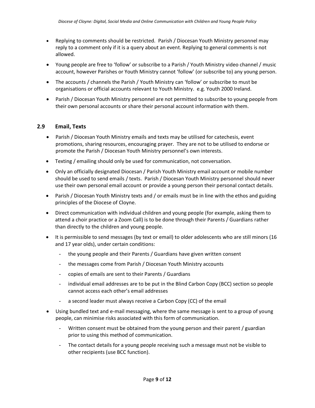- Replying to comments should be restricted. Parish / Diocesan Youth Ministry personnel may reply to a comment only if it is a query about an event. Replying to general comments is not allowed.
- Young people are free to 'follow' or subscribe to a Parish / Youth Ministry video channel / music account, however Parishes or Youth Ministry cannot 'follow' (or subscribe to) any young person.
- The accounts / channels the Parish / Youth Ministry can 'follow' or subscribe to must be organisations or official accounts relevant to Youth Ministry. e.g. Youth 2000 Ireland.
- Parish / Diocesan Youth Ministry personnel are not permitted to subscribe to young people from their own personal accounts or share their personal account information with them.

### **2.9 Email, Texts**

- Parish / Diocesan Youth Ministry emails and texts may be utilised for catechesis, event promotions, sharing resources, encouraging prayer. They are not to be utilised to endorse or promote the Parish / Diocesan Youth Ministry personnel's own interests.
- Texting / emailing should only be used for communication, not conversation.
- Only an officially designated Diocesan / Parish Youth Ministry email account or mobile number should be used to send emails / texts. Parish / Diocesan Youth Ministry personnel should never use their own personal email account or provide a young person their personal contact details.
- Parish / Diocesan Youth Ministry texts and / or emails must be in line with the ethos and guiding principles of the Diocese of Cloyne.
- Direct communication with individual children and young people (for example, asking them to attend a choir practice or a Zoom Call) is to be done through their Parents / Guardians rather than directly to the children and young people.
- It is permissible to send messages (by text or email) to older adolescents who are still minors (16 and 17 year olds), under certain conditions:
	- the young people and their Parents / Guardians have given written consent
	- the messages come from Parish / Diocesan Youth Ministry accounts
	- copies of emails are sent to their Parents / Guardians
	- individual email addresses are to be put in the Blind Carbon Copy (BCC) section so people cannot access each other's email addresses
	- a second leader must always receive a Carbon Copy (CC) of the email
- Using bundled text and e-mail messaging, where the same message is sent to a group of young people, can minimise risks associated with this form of communication.
	- Written consent must be obtained from the young person and their parent / guardian prior to using this method of communication.
	- The contact details for a young people receiving such a message must not be visible to other recipients (use BCC function).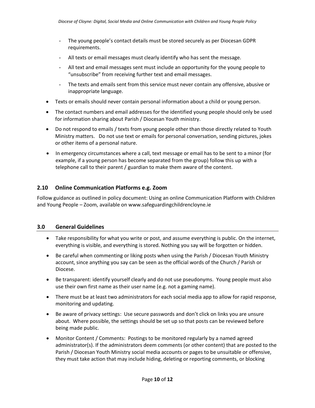- The young people's contact details must be stored securely as per Diocesan GDPR requirements.
- All texts or email messages must clearly identify who has sent the message.
- All text and email messages sent must include an opportunity for the young people to "unsubscribe" from receiving further text and email messages.
- The texts and emails sent from this service must never contain any offensive, abusive or inappropriate language.
- Texts or emails should never contain personal information about a child or young person.
- The contact numbers and email addresses for the identified young people should only be used for information sharing about Parish / Diocesan Youth ministry.
- Do not respond to emails / texts from young people other than those directly related to Youth Ministry matters. Do not use text or emails for personal conversation, sending pictures, jokes or other items of a personal nature.
- In emergency circumstances where a call, text message or email has to be sent to a minor (for example, if a young person has become separated from the group) follow this up with a telephone call to their parent / guardian to make them aware of the content.

#### **2.10 Online Communication Platforms e.g. Zoom**

Follow guidance as outlined in policy document: Using an online Communication Platform with Children and Young People – Zoom, available on www.safeguardingchildrencloyne.ie

#### **3.0 General Guidelines**

- Take responsibility for what you write or post, and assume everything is public. On the internet, everything is visible, and everything is stored. Nothing you say will be forgotten or hidden.
- Be careful when commenting or liking posts when using the Parish / Diocesan Youth Ministry account, since anything you say can be seen as the official words of the Church / Parish or Diocese.
- Be transparent: identify yourself clearly and do not use pseudonyms. Young people must also use their own first name as their user name (e.g. not a gaming name).
- There must be at least two administrators for each social media app to allow for rapid response, monitoring and updating.
- Be aware of privacy settings: Use secure passwords and don't click on links you are unsure about. Where possible, the settings should be set up so that posts can be reviewed before being made public.
- Monitor Content / Comments: Postings to be monitored regularly by a named agreed administrator(s). If the administrators deem comments (or other content) that are posted to the Parish / Diocesan Youth Ministry social media accounts or pages to be unsuitable or offensive, they must take action that may include hiding, deleting or reporting comments, or blocking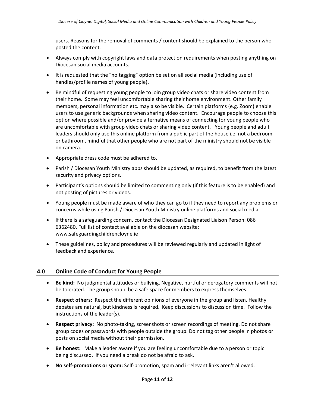users. Reasons for the removal of comments / content should be explained to the person who posted the content.

- Always comply with copyright laws and data protection requirements when posting anything on Diocesan social media accounts.
- It is requested that the "no tagging" option be set on all social media (including use of handles/profile names of young people).
- Be mindful of requesting young people to join group video chats or share video content from their home. Some may feel uncomfortable sharing their home environment. Other family members, personal information etc. may also be visible. Certain platforms (e.g. Zoom) enable users to use generic backgrounds when sharing video content. Encourage people to choose this option where possible and/or provide alternative means of connecting for young people who are uncomfortable with group video chats or sharing video content. Young people and adult leaders should only use this online platform from a public part of the house i.e. not a bedroom or bathroom, mindful that other people who are not part of the ministry should not be visible on camera.
- Appropriate dress code must be adhered to.
- Parish / Diocesan Youth Ministry apps should be updated, as required, to benefit from the latest security and privacy options.
- Participant's options should be limited to commenting only (if this feature is to be enabled) and not posting of pictures or videos.
- Young people must be made aware of who they can go to if they need to report any problems or concerns while using Parish / Diocesan Youth Ministry online platforms and social media.
- If there is a safeguarding concern, contact the Diocesan Designated Liaison Person: 086 6362480. Full list of contact available on the diocesan website: www.safeguardingchildrencloyne.ie
- These guidelines, policy and procedures will be reviewed regularly and updated in light of feedback and experience.

#### **4.0 Online Code of Conduct for Young People**

- **Be kind:** No judgmental attitudes or bullying. Negative, hurtful or derogatory comments will not be tolerated. The group should be a safe space for members to express themselves.
- **Respect others:** Respect the different opinions of everyone in the group and listen. Healthy debates are natural, but kindness is required. Keep discussions to discussion time. Follow the instructions of the leader(s).
- **Respect privacy:** No photo-taking, screenshots or screen recordings of meeting. Do not share group codes or passwords with people outside the group. Do not tag other people in photos or posts on social media without their permission.
- **Be honest:** Make a leader aware if you are feeling uncomfortable due to a person or topic being discussed. If you need a break do not be afraid to ask.
- **No self-promotions or spam:** Self-promotion, spam and irrelevant links aren't allowed.